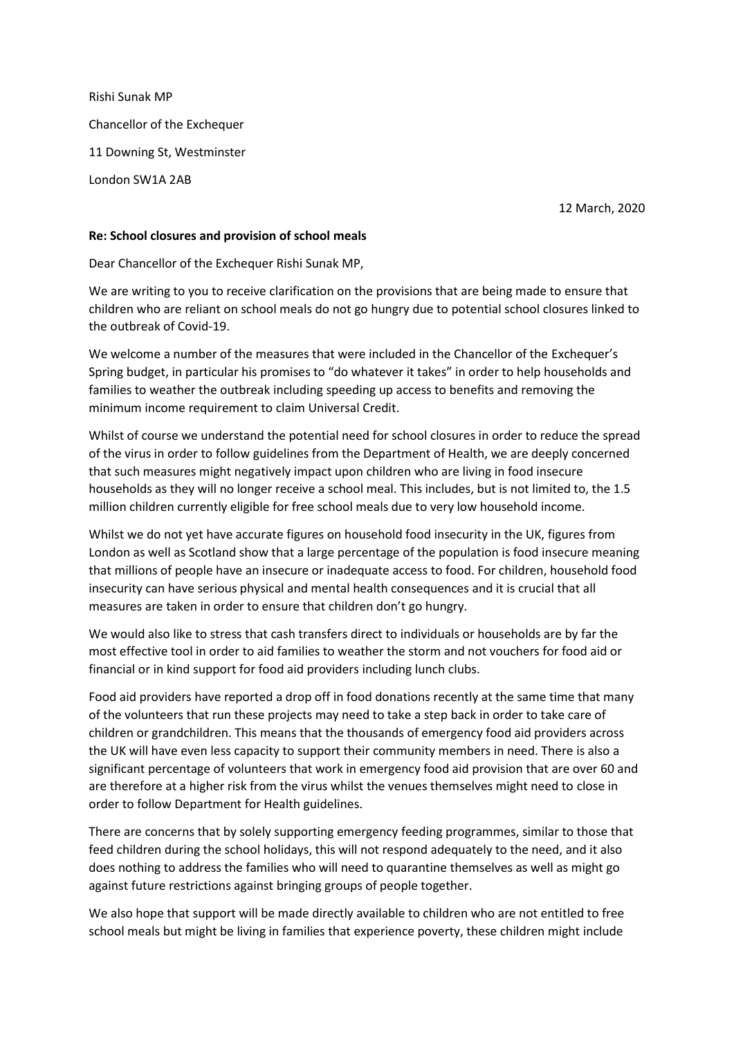Rishi Sunak MP Chancellor of the Exchequer 11 Downing St, Westminster London SW1A 2AB

12 March, 2020

## **Re: School closures and provision of school meals**

Dear Chancellor of the Exchequer Rishi Sunak MP,

We are writing to you to receive clarification on the provisions that are being made to ensure that children who are reliant on school meals do not go hungry due to potential school closures linked to the outbreak of Covid-19.

We welcome a number of the measures that were included in the Chancellor of the Exchequer's Spring budget, in particular his promises to "do whatever it takes" in order to help households and families to weather the outbreak including speeding up access to benefits and removing the minimum income requirement to claim Universal Credit.

Whilst of course we understand the potential need for school closures in order to reduce the spread of the virus in order to follow guidelines from the Department of Health, we are deeply concerned that such measures might negatively impact upon children who are living in food insecure households as they will no longer receive a school meal. This includes, but is not limited to, the 1.5 million children currently eligible for free school meals due to very low household income.

Whilst we do not yet have accurate figures on household food insecurity in the UK, figures from London as well as Scotland show that a large percentage of the population is food insecure meaning that millions of people have an insecure or inadequate access to food. For children, household food insecurity can have serious physical and mental health consequences and it is crucial that all measures are taken in order to ensure that children don't go hungry.

We would also like to stress that cash transfers direct to individuals or households are by far the most effective tool in order to aid families to weather the storm and not vouchers for food aid or financial or in kind support for food aid providers including lunch clubs.

Food aid providers have reported a drop off in food donations recently at the same time that many of the volunteers that run these projects may need to take a step back in order to take care of children or grandchildren. This means that the thousands of emergency food aid providers across the UK will have even less capacity to support their community members in need. There is also a significant percentage of volunteers that work in emergency food aid provision that are over 60 and are therefore at a higher risk from the virus whilst the venues themselves might need to close in order to follow Department for Health guidelines.

There are concerns that by solely supporting emergency feeding programmes, similar to those that feed children during the school holidays, this will not respond adequately to the need, and it also does nothing to address the families who will need to quarantine themselves as well as might go against future restrictions against bringing groups of people together.

We also hope that support will be made directly available to children who are not entitled to free school meals but might be living in families that experience poverty, these children might include